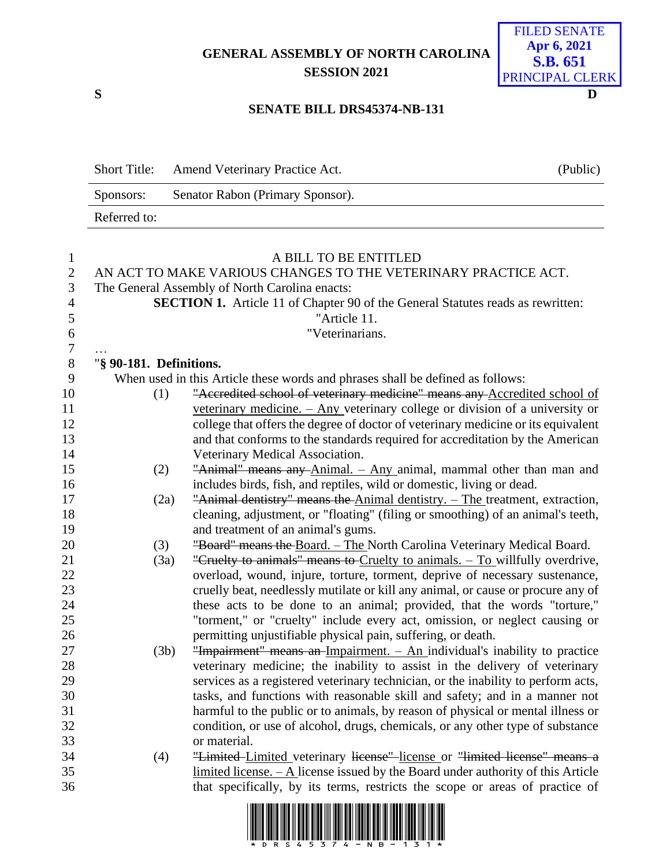**GENERAL ASSEMBLY OF NORTH CAROLINA SESSION 2021**



## **SENATE BILL DRS45374-NB-131**

| <b>Short Title:</b> | <b>Amend Veterinary Practice Act.</b> | (Public) |
|---------------------|---------------------------------------|----------|
| Sponsors:           | Senator Rabon (Primary Sponsor).      |          |
| Referred to:        |                                       |          |

| $\mathbf{1}$   | A BILL TO BE ENTITLED                                          |                                                                                        |  |  |  |  |  |  |
|----------------|----------------------------------------------------------------|----------------------------------------------------------------------------------------|--|--|--|--|--|--|
| $\overline{2}$ | AN ACT TO MAKE VARIOUS CHANGES TO THE VETERINARY PRACTICE ACT. |                                                                                        |  |  |  |  |  |  |
| 3              |                                                                | The General Assembly of North Carolina enacts:                                         |  |  |  |  |  |  |
| $\overline{4}$ |                                                                | <b>SECTION 1.</b> Article 11 of Chapter 90 of the General Statutes reads as rewritten: |  |  |  |  |  |  |
| 5              |                                                                | "Article 11.                                                                           |  |  |  |  |  |  |
| 6              |                                                                | "Veterinarians.                                                                        |  |  |  |  |  |  |
| $\overline{7}$ |                                                                |                                                                                        |  |  |  |  |  |  |
| $8\,$          | "§ 90-181. Definitions.                                        |                                                                                        |  |  |  |  |  |  |
| 9              |                                                                | When used in this Article these words and phrases shall be defined as follows:         |  |  |  |  |  |  |
| 10             | (1)                                                            | "Accredited school of veterinary medicine" means any Accredited school of              |  |  |  |  |  |  |
| 11             |                                                                | veterinary medicine. $-$ Any veterinary college or division of a university or         |  |  |  |  |  |  |
| 12             |                                                                | college that offers the degree of doctor of veterinary medicine or its equivalent      |  |  |  |  |  |  |
| 13             |                                                                | and that conforms to the standards required for accreditation by the American          |  |  |  |  |  |  |
| 14             |                                                                | Veterinary Medical Association.                                                        |  |  |  |  |  |  |
| 15             | (2)                                                            | "Animal" means any Animal. - Any animal, mammal other than man and                     |  |  |  |  |  |  |
| 16             |                                                                | includes birds, fish, and reptiles, wild or domestic, living or dead.                  |  |  |  |  |  |  |
| 17             | (2a)                                                           | "Animal dentistry" means the Animal dentistry. - The treatment, extraction,            |  |  |  |  |  |  |
| 18             |                                                                | cleaning, adjustment, or "floating" (filing or smoothing) of an animal's teeth,        |  |  |  |  |  |  |
| 19             |                                                                | and treatment of an animal's gums.                                                     |  |  |  |  |  |  |
| 20             | (3)                                                            | "Board" means the Board. - The North Carolina Veterinary Medical Board.                |  |  |  |  |  |  |
| 21             | (3a)                                                           | "Cruelty to animals" means to Cruelty to animals. - To willfully overdrive,            |  |  |  |  |  |  |
| 22             |                                                                | overload, wound, injure, torture, torment, deprive of necessary sustenance,            |  |  |  |  |  |  |
| 23             |                                                                | cruelly beat, needlessly mutilate or kill any animal, or cause or procure any of       |  |  |  |  |  |  |
| 24             |                                                                | these acts to be done to an animal; provided, that the words "torture,"                |  |  |  |  |  |  |
| 25             |                                                                | "torment," or "cruelty" include every act, omission, or neglect causing or             |  |  |  |  |  |  |
| 26             |                                                                | permitting unjustifiable physical pain, suffering, or death.                           |  |  |  |  |  |  |
| 27             | (3b)                                                           | "Impairment" means an-Impairment. - An individual's inability to practice              |  |  |  |  |  |  |
| 28             |                                                                | veterinary medicine; the inability to assist in the delivery of veterinary             |  |  |  |  |  |  |
| 29             |                                                                | services as a registered veterinary technician, or the inability to perform acts,      |  |  |  |  |  |  |
| 30             |                                                                | tasks, and functions with reasonable skill and safety; and in a manner not             |  |  |  |  |  |  |
| 31             |                                                                | harmful to the public or to animals, by reason of physical or mental illness or        |  |  |  |  |  |  |
| 32             |                                                                | condition, or use of alcohol, drugs, chemicals, or any other type of substance         |  |  |  |  |  |  |
| 33             |                                                                | or material.                                                                           |  |  |  |  |  |  |
| 34             | (4)                                                            | "Limited-Limited veterinary license" license or "limited license" means a              |  |  |  |  |  |  |
| 35             |                                                                | $limited license. - A license issued by the Board under authority of this Article$     |  |  |  |  |  |  |
| 36             |                                                                | that specifically, by its terms, restricts the scope or areas of practice of           |  |  |  |  |  |  |

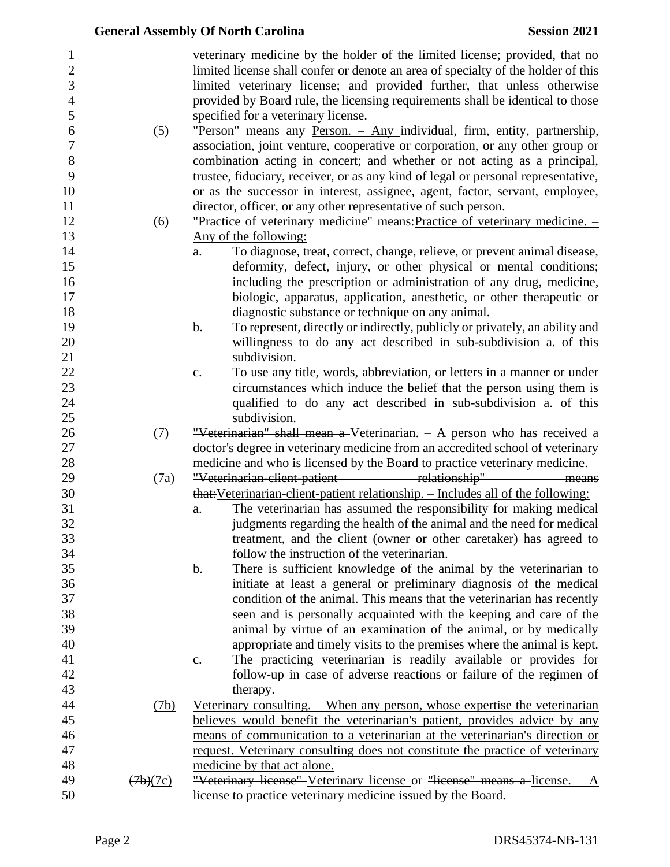|                                                                |          | <b>General Assembly Of North Carolina</b>                                                                                                                                                                                                                                                                                                                            | <b>Session 2021</b> |
|----------------------------------------------------------------|----------|----------------------------------------------------------------------------------------------------------------------------------------------------------------------------------------------------------------------------------------------------------------------------------------------------------------------------------------------------------------------|---------------------|
| 1<br>$\boldsymbol{2}$<br>$\mathfrak{Z}$<br>$\overline{4}$<br>5 |          | veterinary medicine by the holder of the limited license; provided, that no<br>limited license shall confer or denote an area of specialty of the holder of this<br>limited veterinary license; and provided further, that unless otherwise<br>provided by Board rule, the licensing requirements shall be identical to those<br>specified for a veterinary license. |                     |
| 6<br>$\overline{7}$<br>8                                       | (5)      | "Person" means any Person. - Any individual, firm, entity, partnership,<br>association, joint venture, cooperative or corporation, or any other group or<br>combination acting in concert; and whether or not acting as a principal,                                                                                                                                 |                     |
| 9<br>10                                                        |          | trustee, fiduciary, receiver, or as any kind of legal or personal representative,<br>or as the successor in interest, assignee, agent, factor, servant, employee,                                                                                                                                                                                                    |                     |
| 11                                                             |          | director, officer, or any other representative of such person.                                                                                                                                                                                                                                                                                                       |                     |
| 12                                                             | (6)      | "Practice of veterinary medicine" means: Practice of veterinary medicine. -                                                                                                                                                                                                                                                                                          |                     |
| 13                                                             |          | Any of the following:                                                                                                                                                                                                                                                                                                                                                |                     |
| 14                                                             |          | To diagnose, treat, correct, change, relieve, or prevent animal disease,<br>a.                                                                                                                                                                                                                                                                                       |                     |
| 15                                                             |          | deformity, defect, injury, or other physical or mental conditions;                                                                                                                                                                                                                                                                                                   |                     |
| 16                                                             |          | including the prescription or administration of any drug, medicine,                                                                                                                                                                                                                                                                                                  |                     |
| 17                                                             |          | biologic, apparatus, application, anesthetic, or other therapeutic or                                                                                                                                                                                                                                                                                                |                     |
| 18                                                             |          | diagnostic substance or technique on any animal.                                                                                                                                                                                                                                                                                                                     |                     |
| 19                                                             |          | To represent, directly or indirectly, publicly or privately, an ability and<br>$\mathbf b$ .                                                                                                                                                                                                                                                                         |                     |
| 20                                                             |          | willingness to do any act described in sub-subdivision a. of this                                                                                                                                                                                                                                                                                                    |                     |
| 21                                                             |          | subdivision.                                                                                                                                                                                                                                                                                                                                                         |                     |
| 22                                                             |          | To use any title, words, abbreviation, or letters in a manner or under<br>$\mathbf{c}.$                                                                                                                                                                                                                                                                              |                     |
| 23                                                             |          | circumstances which induce the belief that the person using them is                                                                                                                                                                                                                                                                                                  |                     |
| 24                                                             |          | qualified to do any act described in sub-subdivision a. of this                                                                                                                                                                                                                                                                                                      |                     |
| 25                                                             |          | subdivision.                                                                                                                                                                                                                                                                                                                                                         |                     |
| 26                                                             | (7)      | "Veterinarian" shall mean a Veterinarian. $-$ A person who has received a                                                                                                                                                                                                                                                                                            |                     |
| 27                                                             |          | doctor's degree in veterinary medicine from an accredited school of veterinary                                                                                                                                                                                                                                                                                       |                     |
| 28                                                             |          | medicine and who is licensed by the Board to practice veterinary medicine.                                                                                                                                                                                                                                                                                           |                     |
| 29                                                             | (7a)     | "Veterinarian-elient-patient relationship" means                                                                                                                                                                                                                                                                                                                     |                     |
| 30                                                             |          | that: Veterinarian-client-patient relationship. - Includes all of the following:                                                                                                                                                                                                                                                                                     |                     |
| 31                                                             |          | The veterinarian has assumed the responsibility for making medical<br>a.                                                                                                                                                                                                                                                                                             |                     |
| 32                                                             |          | judgments regarding the health of the animal and the need for medical                                                                                                                                                                                                                                                                                                |                     |
| 33                                                             |          | treatment, and the client (owner or other caretaker) has agreed to                                                                                                                                                                                                                                                                                                   |                     |
| 34                                                             |          | follow the instruction of the veterinarian.                                                                                                                                                                                                                                                                                                                          |                     |
| 35                                                             |          | There is sufficient knowledge of the animal by the veterinarian to<br>$\mathbf b$ .                                                                                                                                                                                                                                                                                  |                     |
| 36                                                             |          | initiate at least a general or preliminary diagnosis of the medical                                                                                                                                                                                                                                                                                                  |                     |
| 37                                                             |          | condition of the animal. This means that the veterinarian has recently                                                                                                                                                                                                                                                                                               |                     |
| 38                                                             |          | seen and is personally acquainted with the keeping and care of the                                                                                                                                                                                                                                                                                                   |                     |
| 39                                                             |          | animal by virtue of an examination of the animal, or by medically                                                                                                                                                                                                                                                                                                    |                     |
| 40                                                             |          | appropriate and timely visits to the premises where the animal is kept.                                                                                                                                                                                                                                                                                              |                     |
| 41                                                             |          | The practicing veterinarian is readily available or provides for<br>$\mathbf{c}$ .                                                                                                                                                                                                                                                                                   |                     |
| 42                                                             |          | follow-up in case of adverse reactions or failure of the regimen of                                                                                                                                                                                                                                                                                                  |                     |
| 43                                                             |          | therapy.                                                                                                                                                                                                                                                                                                                                                             |                     |
| 44                                                             | (7b)     | <u>Veterinary consulting. – When any person, whose expertise the veterinarian</u>                                                                                                                                                                                                                                                                                    |                     |
| 45                                                             |          | believes would benefit the veterinarian's patient, provides advice by any                                                                                                                                                                                                                                                                                            |                     |
| 46                                                             |          | means of communication to a veterinarian at the veterinarian's direction or                                                                                                                                                                                                                                                                                          |                     |
| 47                                                             |          | request. Veterinary consulting does not constitute the practice of veterinary                                                                                                                                                                                                                                                                                        |                     |
| 48                                                             |          | medicine by that act alone.                                                                                                                                                                                                                                                                                                                                          |                     |
| 49                                                             | (7b)(7c) | "Veterinary license" Veterinary license or "license" means a license. $- A$                                                                                                                                                                                                                                                                                          |                     |
| 50                                                             |          | license to practice veterinary medicine issued by the Board.                                                                                                                                                                                                                                                                                                         |                     |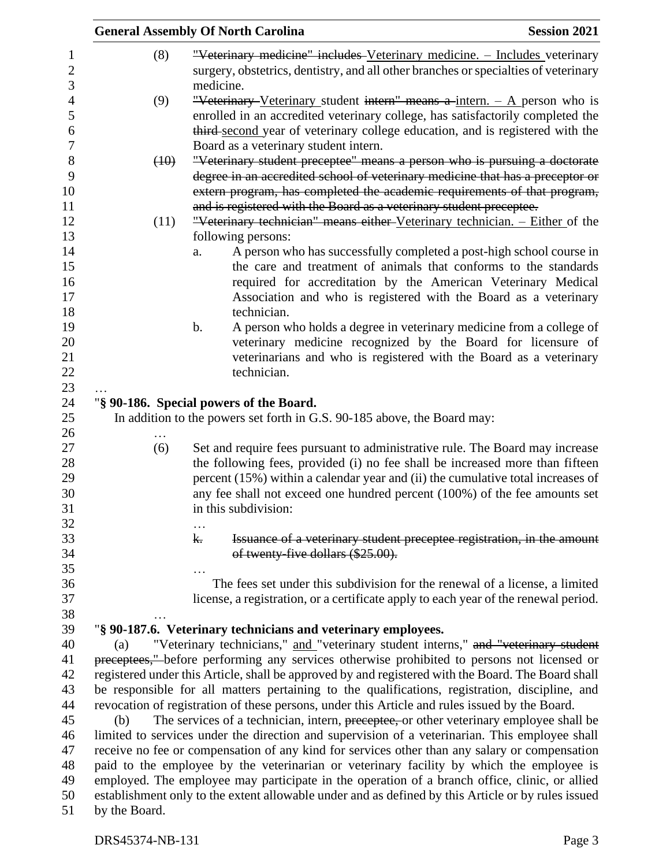|                     | <b>Session 2021</b><br><b>General Assembly Of North Carolina</b>                                                                                                                                  |                                                                                                                                                           |  |  |  |  |  |
|---------------------|---------------------------------------------------------------------------------------------------------------------------------------------------------------------------------------------------|-----------------------------------------------------------------------------------------------------------------------------------------------------------|--|--|--|--|--|
| $\mathbf{1}$        | (8)                                                                                                                                                                                               | "Veterinary medicine" includes Veterinary medicine. - Includes veterinary                                                                                 |  |  |  |  |  |
| $\overline{2}$<br>3 |                                                                                                                                                                                                   | surgery, obstetrics, dentistry, and all other branches or specialties of veterinary<br>medicine.                                                          |  |  |  |  |  |
| $\overline{4}$      | (9)                                                                                                                                                                                               | "Veterinary Veterinary student intern" means a intern. $-$ A person who is                                                                                |  |  |  |  |  |
| 5                   |                                                                                                                                                                                                   | enrolled in an accredited veterinary college, has satisfactorily completed the                                                                            |  |  |  |  |  |
| 6                   |                                                                                                                                                                                                   | third-second year of veterinary college education, and is registered with the                                                                             |  |  |  |  |  |
| $\boldsymbol{7}$    |                                                                                                                                                                                                   | Board as a veterinary student intern.                                                                                                                     |  |  |  |  |  |
| 8                   | (10)                                                                                                                                                                                              | "Veterinary student preceptee" means a person who is pursuing a doctorate                                                                                 |  |  |  |  |  |
| 9<br>10             |                                                                                                                                                                                                   | degree in an accredited school of veterinary medicine that has a preceptor or<br>extern program, has completed the academic requirements of that program, |  |  |  |  |  |
| 11                  |                                                                                                                                                                                                   | and is registered with the Board as a veterinary student preceptee.                                                                                       |  |  |  |  |  |
| 12                  | (11)                                                                                                                                                                                              | "Veterinary technician" means either Veterinary technician. - Either of the                                                                               |  |  |  |  |  |
| 13                  |                                                                                                                                                                                                   | following persons:                                                                                                                                        |  |  |  |  |  |
| 14                  |                                                                                                                                                                                                   | A person who has successfully completed a post-high school course in<br>a.                                                                                |  |  |  |  |  |
| 15                  |                                                                                                                                                                                                   | the care and treatment of animals that conforms to the standards                                                                                          |  |  |  |  |  |
| 16                  |                                                                                                                                                                                                   | required for accreditation by the American Veterinary Medical                                                                                             |  |  |  |  |  |
| 17                  |                                                                                                                                                                                                   | Association and who is registered with the Board as a veterinary                                                                                          |  |  |  |  |  |
| 18                  |                                                                                                                                                                                                   | technician.                                                                                                                                               |  |  |  |  |  |
| 19                  |                                                                                                                                                                                                   | A person who holds a degree in veterinary medicine from a college of<br>b.                                                                                |  |  |  |  |  |
| 20                  |                                                                                                                                                                                                   | veterinary medicine recognized by the Board for licensure of                                                                                              |  |  |  |  |  |
| 21                  |                                                                                                                                                                                                   | veterinarians and who is registered with the Board as a veterinary                                                                                        |  |  |  |  |  |
| 22                  |                                                                                                                                                                                                   | technician.                                                                                                                                               |  |  |  |  |  |
| 23                  |                                                                                                                                                                                                   |                                                                                                                                                           |  |  |  |  |  |
| 24                  |                                                                                                                                                                                                   | "§ 90-186. Special powers of the Board.                                                                                                                   |  |  |  |  |  |
| 25                  |                                                                                                                                                                                                   | In addition to the powers set forth in G.S. 90-185 above, the Board may:                                                                                  |  |  |  |  |  |
| 26                  |                                                                                                                                                                                                   |                                                                                                                                                           |  |  |  |  |  |
| 27                  | (6)                                                                                                                                                                                               | Set and require fees pursuant to administrative rule. The Board may increase                                                                              |  |  |  |  |  |
| 28                  |                                                                                                                                                                                                   | the following fees, provided (i) no fee shall be increased more than fifteen                                                                              |  |  |  |  |  |
| 29                  |                                                                                                                                                                                                   | percent (15%) within a calendar year and (ii) the cumulative total increases of                                                                           |  |  |  |  |  |
| 30                  |                                                                                                                                                                                                   | any fee shall not exceed one hundred percent (100%) of the fee amounts set                                                                                |  |  |  |  |  |
| 31                  |                                                                                                                                                                                                   | in this subdivision:                                                                                                                                      |  |  |  |  |  |
| 32                  |                                                                                                                                                                                                   |                                                                                                                                                           |  |  |  |  |  |
| 33                  |                                                                                                                                                                                                   | Issuance of a veterinary student preceptee registration, in the amount<br>$\mathbf{k}$                                                                    |  |  |  |  |  |
| 34                  |                                                                                                                                                                                                   | of twenty-five dollars (\$25.00).                                                                                                                         |  |  |  |  |  |
| 35                  |                                                                                                                                                                                                   |                                                                                                                                                           |  |  |  |  |  |
| 36                  |                                                                                                                                                                                                   | The fees set under this subdivision for the renewal of a license, a limited                                                                               |  |  |  |  |  |
| 37                  |                                                                                                                                                                                                   | license, a registration, or a certificate apply to each year of the renewal period.                                                                       |  |  |  |  |  |
| 38                  |                                                                                                                                                                                                   | "§ 90-187.6. Veterinary technicians and veterinary employees.                                                                                             |  |  |  |  |  |
| 39<br>40            | (a)                                                                                                                                                                                               | "Veterinary technicians," and "veterinary student interns," and "veterinary student                                                                       |  |  |  |  |  |
| 41                  |                                                                                                                                                                                                   |                                                                                                                                                           |  |  |  |  |  |
| 42                  | preceptees," before performing any services otherwise prohibited to persons not licensed or<br>registered under this Article, shall be approved by and registered with the Board. The Board shall |                                                                                                                                                           |  |  |  |  |  |
| 43                  | be responsible for all matters pertaining to the qualifications, registration, discipline, and                                                                                                    |                                                                                                                                                           |  |  |  |  |  |
| 44                  | revocation of registration of these persons, under this Article and rules issued by the Board.                                                                                                    |                                                                                                                                                           |  |  |  |  |  |
| 45                  | The services of a technician, intern, preceptee, or other veterinary employee shall be<br>(b)                                                                                                     |                                                                                                                                                           |  |  |  |  |  |
| 46                  | limited to services under the direction and supervision of a veterinarian. This employee shall                                                                                                    |                                                                                                                                                           |  |  |  |  |  |
| 47                  | receive no fee or compensation of any kind for services other than any salary or compensation                                                                                                     |                                                                                                                                                           |  |  |  |  |  |
| 48                  | paid to the employee by the veterinarian or veterinary facility by which the employee is                                                                                                          |                                                                                                                                                           |  |  |  |  |  |
| 49                  | employed. The employee may participate in the operation of a branch office, clinic, or allied                                                                                                     |                                                                                                                                                           |  |  |  |  |  |
| 50                  |                                                                                                                                                                                                   | establishment only to the extent allowable under and as defined by this Article or by rules issued                                                        |  |  |  |  |  |
| 51                  | by the Board.                                                                                                                                                                                     |                                                                                                                                                           |  |  |  |  |  |